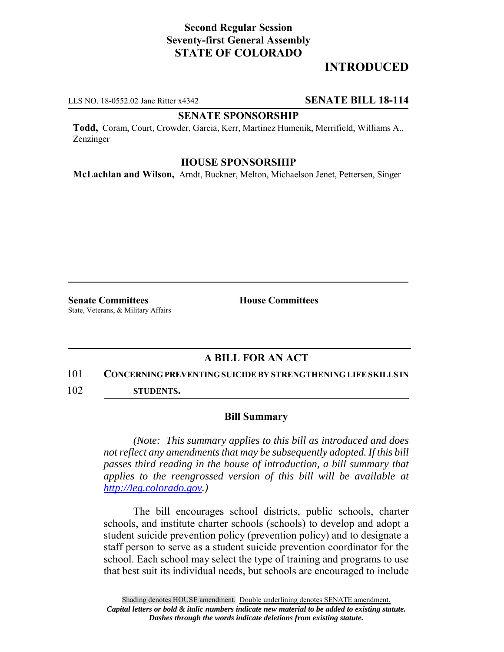# **Second Regular Session Seventy-first General Assembly STATE OF COLORADO**

# **INTRODUCED**

LLS NO. 18-0552.02 Jane Ritter x4342 **SENATE BILL 18-114**

### **SENATE SPONSORSHIP**

**Todd,** Coram, Court, Crowder, Garcia, Kerr, Martinez Humenik, Merrifield, Williams A., Zenzinger

## **HOUSE SPONSORSHIP**

**McLachlan and Wilson,** Arndt, Buckner, Melton, Michaelson Jenet, Pettersen, Singer

**Senate Committees House Committees** State, Veterans, & Military Affairs

## **A BILL FOR AN ACT**

#### 101 **CONCERNING PREVENTING SUICIDE BY STRENGTHENING LIFE SKILLS IN**

102 **STUDENTS.**

#### **Bill Summary**

*(Note: This summary applies to this bill as introduced and does not reflect any amendments that may be subsequently adopted. If this bill passes third reading in the house of introduction, a bill summary that applies to the reengrossed version of this bill will be available at http://leg.colorado.gov.)*

The bill encourages school districts, public schools, charter schools, and institute charter schools (schools) to develop and adopt a student suicide prevention policy (prevention policy) and to designate a staff person to serve as a student suicide prevention coordinator for the school. Each school may select the type of training and programs to use that best suit its individual needs, but schools are encouraged to include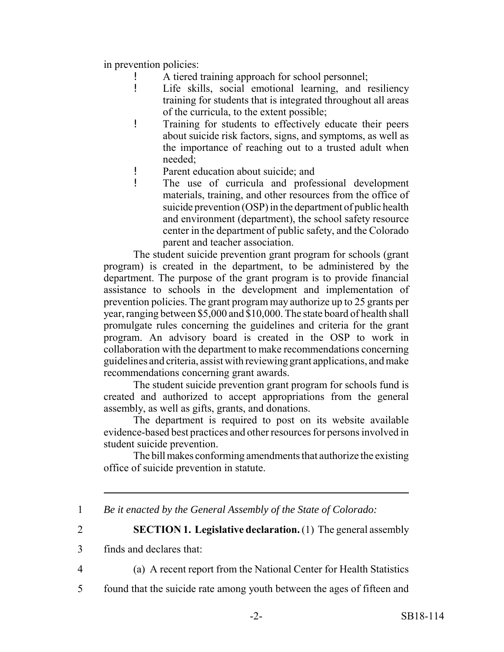in prevention policies:

- A tiered training approach for school personnel;
- ! Life skills, social emotional learning, and resiliency training for students that is integrated throughout all areas of the curricula, to the extent possible;
- ! Training for students to effectively educate their peers about suicide risk factors, signs, and symptoms, as well as the importance of reaching out to a trusted adult when needed;
- ! Parent education about suicide; and
- ! The use of curricula and professional development materials, training, and other resources from the office of suicide prevention (OSP) in the department of public health and environment (department), the school safety resource center in the department of public safety, and the Colorado parent and teacher association.

The student suicide prevention grant program for schools (grant program) is created in the department, to be administered by the department. The purpose of the grant program is to provide financial assistance to schools in the development and implementation of prevention policies. The grant program may authorize up to 25 grants per year, ranging between \$5,000 and \$10,000. The state board of health shall promulgate rules concerning the guidelines and criteria for the grant program. An advisory board is created in the OSP to work in collaboration with the department to make recommendations concerning guidelines and criteria, assist with reviewing grant applications, and make recommendations concerning grant awards.

The student suicide prevention grant program for schools fund is created and authorized to accept appropriations from the general assembly, as well as gifts, grants, and donations.

The department is required to post on its website available evidence-based best practices and other resources for persons involved in student suicide prevention.

The bill makes conforming amendments that authorize the existing office of suicide prevention in statute.

1 *Be it enacted by the General Assembly of the State of Colorado:*

2 **SECTION 1. Legislative declaration.** (1) The general assembly

- 3 finds and declares that:
- 

4 (a) A recent report from the National Center for Health Statistics

5 found that the suicide rate among youth between the ages of fifteen and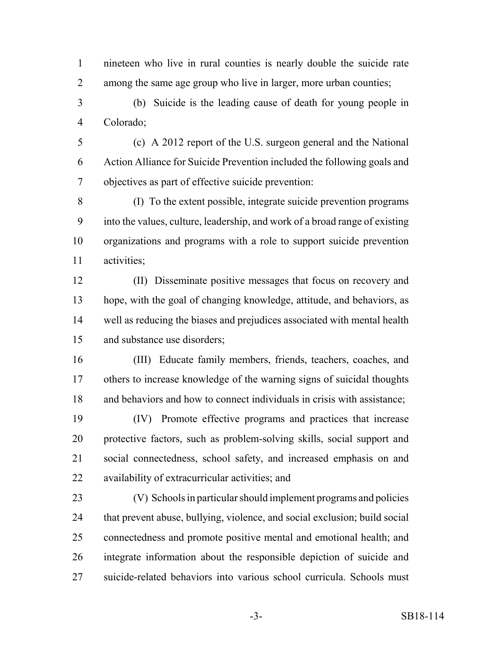nineteen who live in rural counties is nearly double the suicide rate among the same age group who live in larger, more urban counties;

 (b) Suicide is the leading cause of death for young people in Colorado;

 (c) A 2012 report of the U.S. surgeon general and the National Action Alliance for Suicide Prevention included the following goals and objectives as part of effective suicide prevention:

 (I) To the extent possible, integrate suicide prevention programs into the values, culture, leadership, and work of a broad range of existing organizations and programs with a role to support suicide prevention activities;

 (II) Disseminate positive messages that focus on recovery and hope, with the goal of changing knowledge, attitude, and behaviors, as well as reducing the biases and prejudices associated with mental health and substance use disorders;

 (III) Educate family members, friends, teachers, coaches, and others to increase knowledge of the warning signs of suicidal thoughts and behaviors and how to connect individuals in crisis with assistance;

 (IV) Promote effective programs and practices that increase protective factors, such as problem-solving skills, social support and social connectedness, school safety, and increased emphasis on and availability of extracurricular activities; and

 (V) Schools in particular should implement programs and policies that prevent abuse, bullying, violence, and social exclusion; build social connectedness and promote positive mental and emotional health; and integrate information about the responsible depiction of suicide and suicide-related behaviors into various school curricula. Schools must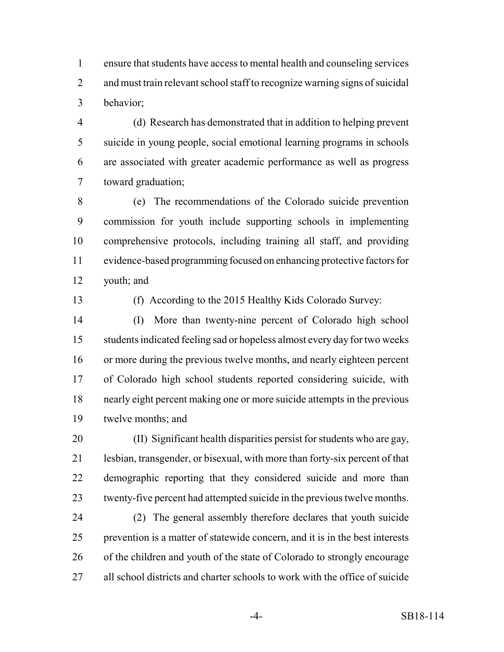ensure that students have access to mental health and counseling services and must train relevant school staff to recognize warning signs of suicidal behavior;

 (d) Research has demonstrated that in addition to helping prevent suicide in young people, social emotional learning programs in schools are associated with greater academic performance as well as progress toward graduation;

 (e) The recommendations of the Colorado suicide prevention commission for youth include supporting schools in implementing comprehensive protocols, including training all staff, and providing evidence-based programming focused on enhancing protective factors for youth; and

(f) According to the 2015 Healthy Kids Colorado Survey:

 (I) More than twenty-nine percent of Colorado high school students indicated feeling sad or hopeless almost every day for two weeks or more during the previous twelve months, and nearly eighteen percent of Colorado high school students reported considering suicide, with nearly eight percent making one or more suicide attempts in the previous twelve months; and

 (II) Significant health disparities persist for students who are gay, lesbian, transgender, or bisexual, with more than forty-six percent of that demographic reporting that they considered suicide and more than twenty-five percent had attempted suicide in the previous twelve months.

 (2) The general assembly therefore declares that youth suicide prevention is a matter of statewide concern, and it is in the best interests of the children and youth of the state of Colorado to strongly encourage all school districts and charter schools to work with the office of suicide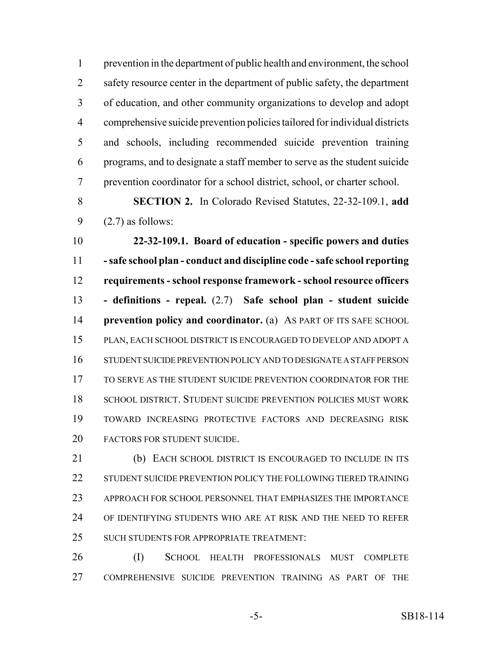prevention in the department of public health and environment, the school 2 safety resource center in the department of public safety, the department of education, and other community organizations to develop and adopt comprehensive suicide prevention policies tailored for individual districts and schools, including recommended suicide prevention training programs, and to designate a staff member to serve as the student suicide prevention coordinator for a school district, school, or charter school.

 **SECTION 2.** In Colorado Revised Statutes, 22-32-109.1, **add** 9  $(2.7)$  as follows:

 **22-32-109.1. Board of education - specific powers and duties - safe school plan - conduct and discipline code - safe school reporting requirements - school response framework - school resource officers - definitions - repeal.** (2.7) **Safe school plan - student suicide prevention policy and coordinator.** (a) AS PART OF ITS SAFE SCHOOL PLAN, EACH SCHOOL DISTRICT IS ENCOURAGED TO DEVELOP AND ADOPT A STUDENT SUICIDE PREVENTION POLICY AND TO DESIGNATE A STAFF PERSON 17 TO SERVE AS THE STUDENT SUICIDE PREVENTION COORDINATOR FOR THE SCHOOL DISTRICT. STUDENT SUICIDE PREVENTION POLICIES MUST WORK TOWARD INCREASING PROTECTIVE FACTORS AND DECREASING RISK FACTORS FOR STUDENT SUICIDE.

 (b) EACH SCHOOL DISTRICT IS ENCOURAGED TO INCLUDE IN ITS STUDENT SUICIDE PREVENTION POLICY THE FOLLOWING TIERED TRAINING APPROACH FOR SCHOOL PERSONNEL THAT EMPHASIZES THE IMPORTANCE OF IDENTIFYING STUDENTS WHO ARE AT RISK AND THE NEED TO REFER 25 SUCH STUDENTS FOR APPROPRIATE TREATMENT:

 (I) SCHOOL HEALTH PROFESSIONALS MUST COMPLETE COMPREHENSIVE SUICIDE PREVENTION TRAINING AS PART OF THE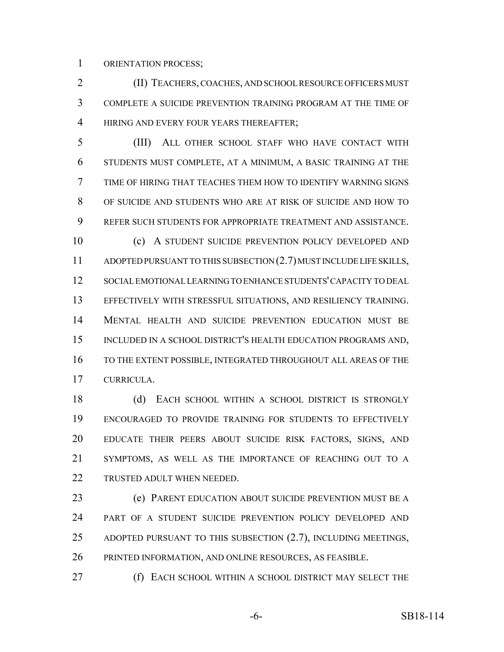ORIENTATION PROCESS;

 (II) TEACHERS, COACHES, AND SCHOOL RESOURCE OFFICERS MUST COMPLETE A SUICIDE PREVENTION TRAINING PROGRAM AT THE TIME OF 4 HIRING AND EVERY FOUR YEARS THEREAFTER;

 (III) ALL OTHER SCHOOL STAFF WHO HAVE CONTACT WITH STUDENTS MUST COMPLETE, AT A MINIMUM, A BASIC TRAINING AT THE TIME OF HIRING THAT TEACHES THEM HOW TO IDENTIFY WARNING SIGNS OF SUICIDE AND STUDENTS WHO ARE AT RISK OF SUICIDE AND HOW TO REFER SUCH STUDENTS FOR APPROPRIATE TREATMENT AND ASSISTANCE. (c) A STUDENT SUICIDE PREVENTION POLICY DEVELOPED AND

 ADOPTED PURSUANT TO THIS SUBSECTION (2.7) MUST INCLUDE LIFE SKILLS, SOCIAL EMOTIONAL LEARNING TO ENHANCE STUDENTS' CAPACITY TO DEAL EFFECTIVELY WITH STRESSFUL SITUATIONS, AND RESILIENCY TRAINING. MENTAL HEALTH AND SUICIDE PREVENTION EDUCATION MUST BE INCLUDED IN A SCHOOL DISTRICT'S HEALTH EDUCATION PROGRAMS AND, TO THE EXTENT POSSIBLE, INTEGRATED THROUGHOUT ALL AREAS OF THE CURRICULA.

 (d) EACH SCHOOL WITHIN A SCHOOL DISTRICT IS STRONGLY ENCOURAGED TO PROVIDE TRAINING FOR STUDENTS TO EFFECTIVELY EDUCATE THEIR PEERS ABOUT SUICIDE RISK FACTORS, SIGNS, AND SYMPTOMS, AS WELL AS THE IMPORTANCE OF REACHING OUT TO A TRUSTED ADULT WHEN NEEDED.

 (e) PARENT EDUCATION ABOUT SUICIDE PREVENTION MUST BE A PART OF A STUDENT SUICIDE PREVENTION POLICY DEVELOPED AND ADOPTED PURSUANT TO THIS SUBSECTION (2.7), INCLUDING MEETINGS, PRINTED INFORMATION, AND ONLINE RESOURCES, AS FEASIBLE.

(f) EACH SCHOOL WITHIN A SCHOOL DISTRICT MAY SELECT THE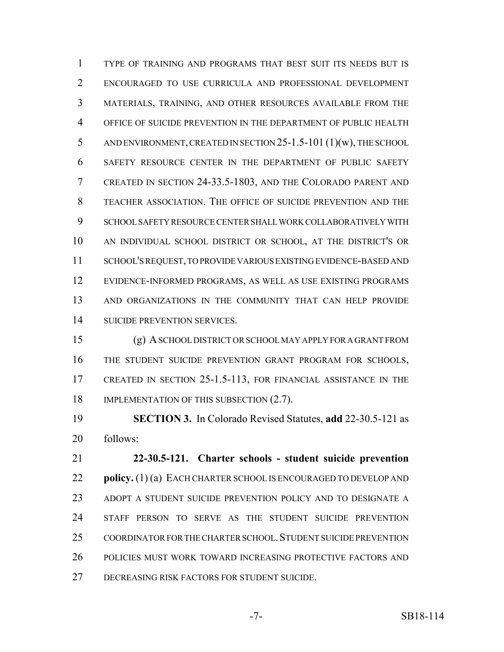TYPE OF TRAINING AND PROGRAMS THAT BEST SUIT ITS NEEDS BUT IS ENCOURAGED TO USE CURRICULA AND PROFESSIONAL DEVELOPMENT MATERIALS, TRAINING, AND OTHER RESOURCES AVAILABLE FROM THE OFFICE OF SUICIDE PREVENTION IN THE DEPARTMENT OF PUBLIC HEALTH AND ENVIRONMENT, CREATED IN SECTION 25-1.5-101 (1)(w), THE SCHOOL SAFETY RESOURCE CENTER IN THE DEPARTMENT OF PUBLIC SAFETY CREATED IN SECTION 24-33.5-1803, AND THE COLORADO PARENT AND TEACHER ASSOCIATION. THE OFFICE OF SUICIDE PREVENTION AND THE SCHOOL SAFETY RESOURCE CENTER SHALL WORK COLLABORATIVELY WITH AN INDIVIDUAL SCHOOL DISTRICT OR SCHOOL, AT THE DISTRICT'S OR SCHOOL'S REQUEST, TO PROVIDE VARIOUS EXISTING EVIDENCE-BASED AND EVIDENCE-INFORMED PROGRAMS, AS WELL AS USE EXISTING PROGRAMS AND ORGANIZATIONS IN THE COMMUNITY THAT CAN HELP PROVIDE SUICIDE PREVENTION SERVICES.

 (g) A SCHOOL DISTRICT OR SCHOOL MAY APPLY FOR A GRANT FROM THE STUDENT SUICIDE PREVENTION GRANT PROGRAM FOR SCHOOLS, CREATED IN SECTION 25-1.5-113, FOR FINANCIAL ASSISTANCE IN THE 18 IMPLEMENTATION OF THIS SUBSECTION  $(2.7)$ .

 **SECTION 3.** In Colorado Revised Statutes, **add** 22-30.5-121 as follows:

 **22-30.5-121. Charter schools - student suicide prevention policy.** (1) (a) EACH CHARTER SCHOOL IS ENCOURAGED TO DEVELOP AND ADOPT A STUDENT SUICIDE PREVENTION POLICY AND TO DESIGNATE A STAFF PERSON TO SERVE AS THE STUDENT SUICIDE PREVENTION COORDINATOR FOR THE CHARTER SCHOOL.STUDENT SUICIDE PREVENTION POLICIES MUST WORK TOWARD INCREASING PROTECTIVE FACTORS AND DECREASING RISK FACTORS FOR STUDENT SUICIDE.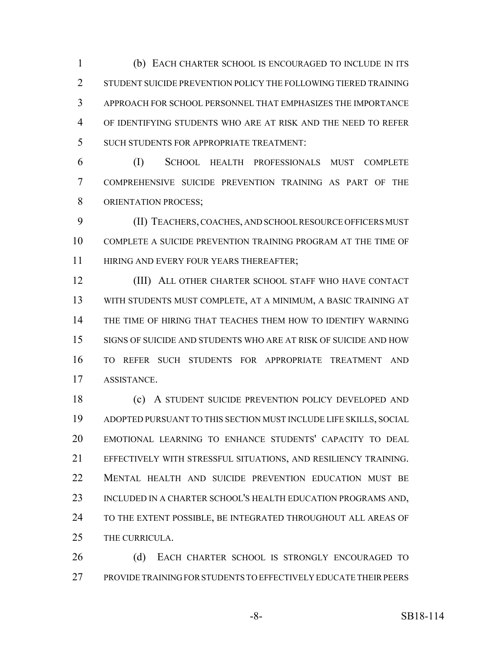(b) EACH CHARTER SCHOOL IS ENCOURAGED TO INCLUDE IN ITS 2 STUDENT SUICIDE PREVENTION POLICY THE FOLLOWING TIERED TRAINING APPROACH FOR SCHOOL PERSONNEL THAT EMPHASIZES THE IMPORTANCE OF IDENTIFYING STUDENTS WHO ARE AT RISK AND THE NEED TO REFER SUCH STUDENTS FOR APPROPRIATE TREATMENT:

 (I) SCHOOL HEALTH PROFESSIONALS MUST COMPLETE COMPREHENSIVE SUICIDE PREVENTION TRAINING AS PART OF THE 8 ORIENTATION PROCESS;

 (II) TEACHERS, COACHES, AND SCHOOL RESOURCE OFFICERS MUST COMPLETE A SUICIDE PREVENTION TRAINING PROGRAM AT THE TIME OF 11 HIRING AND EVERY FOUR YEARS THEREAFTER;

 (III) ALL OTHER CHARTER SCHOOL STAFF WHO HAVE CONTACT WITH STUDENTS MUST COMPLETE, AT A MINIMUM, A BASIC TRAINING AT THE TIME OF HIRING THAT TEACHES THEM HOW TO IDENTIFY WARNING SIGNS OF SUICIDE AND STUDENTS WHO ARE AT RISK OF SUICIDE AND HOW TO REFER SUCH STUDENTS FOR APPROPRIATE TREATMENT AND ASSISTANCE.

 (c) A STUDENT SUICIDE PREVENTION POLICY DEVELOPED AND ADOPTED PURSUANT TO THIS SECTION MUST INCLUDE LIFE SKILLS, SOCIAL EMOTIONAL LEARNING TO ENHANCE STUDENTS' CAPACITY TO DEAL EFFECTIVELY WITH STRESSFUL SITUATIONS, AND RESILIENCY TRAINING. MENTAL HEALTH AND SUICIDE PREVENTION EDUCATION MUST BE 23 INCLUDED IN A CHARTER SCHOOL'S HEALTH EDUCATION PROGRAMS AND, 24 TO THE EXTENT POSSIBLE, BE INTEGRATED THROUGHOUT ALL AREAS OF THE CURRICULA.

26 (d) EACH CHARTER SCHOOL IS STRONGLY ENCOURAGED TO PROVIDE TRAINING FOR STUDENTS TO EFFECTIVELY EDUCATE THEIR PEERS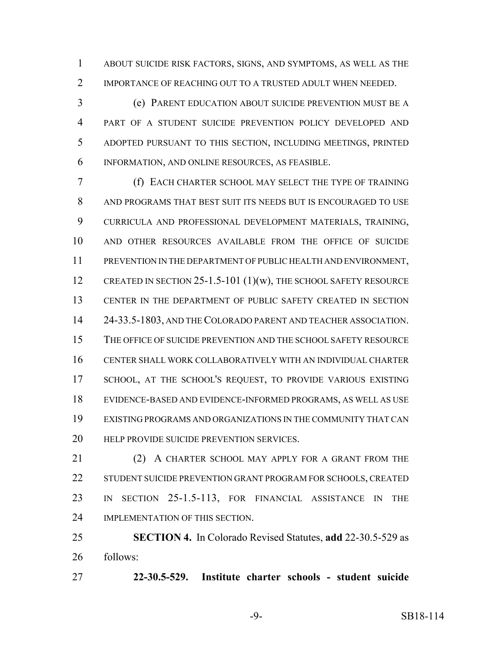ABOUT SUICIDE RISK FACTORS, SIGNS, AND SYMPTOMS, AS WELL AS THE 2 IMPORTANCE OF REACHING OUT TO A TRUSTED ADULT WHEN NEEDED.

 (e) PARENT EDUCATION ABOUT SUICIDE PREVENTION MUST BE A PART OF A STUDENT SUICIDE PREVENTION POLICY DEVELOPED AND ADOPTED PURSUANT TO THIS SECTION, INCLUDING MEETINGS, PRINTED INFORMATION, AND ONLINE RESOURCES, AS FEASIBLE.

 (f) EACH CHARTER SCHOOL MAY SELECT THE TYPE OF TRAINING AND PROGRAMS THAT BEST SUIT ITS NEEDS BUT IS ENCOURAGED TO USE CURRICULA AND PROFESSIONAL DEVELOPMENT MATERIALS, TRAINING, AND OTHER RESOURCES AVAILABLE FROM THE OFFICE OF SUICIDE PREVENTION IN THE DEPARTMENT OF PUBLIC HEALTH AND ENVIRONMENT, 12 CREATED IN SECTION 25-1.5-101 (1)(w), THE SCHOOL SAFETY RESOURCE CENTER IN THE DEPARTMENT OF PUBLIC SAFETY CREATED IN SECTION 24-33.5-1803, AND THE COLORADO PARENT AND TEACHER ASSOCIATION. THE OFFICE OF SUICIDE PREVENTION AND THE SCHOOL SAFETY RESOURCE CENTER SHALL WORK COLLABORATIVELY WITH AN INDIVIDUAL CHARTER 17 SCHOOL, AT THE SCHOOL'S REQUEST, TO PROVIDE VARIOUS EXISTING EVIDENCE-BASED AND EVIDENCE-INFORMED PROGRAMS, AS WELL AS USE EXISTING PROGRAMS AND ORGANIZATIONS IN THE COMMUNITY THAT CAN **HELP PROVIDE SUICIDE PREVENTION SERVICES.** 

21 (2) A CHARTER SCHOOL MAY APPLY FOR A GRANT FROM THE STUDENT SUICIDE PREVENTION GRANT PROGRAM FOR SCHOOLS, CREATED IN SECTION 25-1.5-113, FOR FINANCIAL ASSISTANCE IN THE IMPLEMENTATION OF THIS SECTION.

 **SECTION 4.** In Colorado Revised Statutes, **add** 22-30.5-529 as follows:

**22-30.5-529. Institute charter schools - student suicide**

-9- SB18-114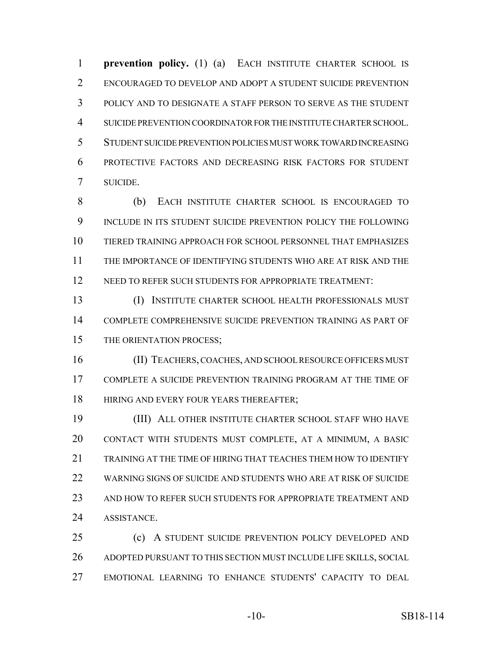**prevention policy.** (1) (a) EACH INSTITUTE CHARTER SCHOOL IS ENCOURAGED TO DEVELOP AND ADOPT A STUDENT SUICIDE PREVENTION POLICY AND TO DESIGNATE A STAFF PERSON TO SERVE AS THE STUDENT SUICIDE PREVENTION COORDINATOR FOR THE INSTITUTE CHARTER SCHOOL. STUDENT SUICIDE PREVENTION POLICIES MUST WORK TOWARD INCREASING PROTECTIVE FACTORS AND DECREASING RISK FACTORS FOR STUDENT SUICIDE.

 (b) EACH INSTITUTE CHARTER SCHOOL IS ENCOURAGED TO INCLUDE IN ITS STUDENT SUICIDE PREVENTION POLICY THE FOLLOWING TIERED TRAINING APPROACH FOR SCHOOL PERSONNEL THAT EMPHASIZES THE IMPORTANCE OF IDENTIFYING STUDENTS WHO ARE AT RISK AND THE 12 NEED TO REFER SUCH STUDENTS FOR APPROPRIATE TREATMENT:

 (I) INSTITUTE CHARTER SCHOOL HEALTH PROFESSIONALS MUST COMPLETE COMPREHENSIVE SUICIDE PREVENTION TRAINING AS PART OF THE ORIENTATION PROCESS;

 (II) TEACHERS, COACHES, AND SCHOOL RESOURCE OFFICERS MUST COMPLETE A SUICIDE PREVENTION TRAINING PROGRAM AT THE TIME OF **HIRING AND EVERY FOUR YEARS THEREAFTER;** 

 (III) ALL OTHER INSTITUTE CHARTER SCHOOL STAFF WHO HAVE CONTACT WITH STUDENTS MUST COMPLETE, AT A MINIMUM, A BASIC 21 TRAINING AT THE TIME OF HIRING THAT TEACHES THEM HOW TO IDENTIFY WARNING SIGNS OF SUICIDE AND STUDENTS WHO ARE AT RISK OF SUICIDE AND HOW TO REFER SUCH STUDENTS FOR APPROPRIATE TREATMENT AND ASSISTANCE.

 (c) A STUDENT SUICIDE PREVENTION POLICY DEVELOPED AND ADOPTED PURSUANT TO THIS SECTION MUST INCLUDE LIFE SKILLS, SOCIAL EMOTIONAL LEARNING TO ENHANCE STUDENTS' CAPACITY TO DEAL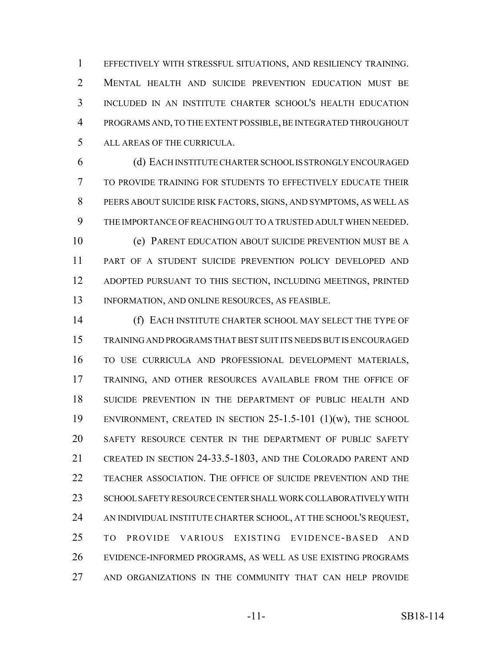EFFECTIVELY WITH STRESSFUL SITUATIONS, AND RESILIENCY TRAINING. MENTAL HEALTH AND SUICIDE PREVENTION EDUCATION MUST BE INCLUDED IN AN INSTITUTE CHARTER SCHOOL'S HEALTH EDUCATION PROGRAMS AND, TO THE EXTENT POSSIBLE, BE INTEGRATED THROUGHOUT ALL AREAS OF THE CURRICULA.

 (d) EACH INSTITUTE CHARTER SCHOOL IS STRONGLY ENCOURAGED TO PROVIDE TRAINING FOR STUDENTS TO EFFECTIVELY EDUCATE THEIR PEERS ABOUT SUICIDE RISK FACTORS, SIGNS, AND SYMPTOMS, AS WELL AS THE IMPORTANCE OF REACHING OUT TO A TRUSTED ADULT WHEN NEEDED. (e) PARENT EDUCATION ABOUT SUICIDE PREVENTION MUST BE A PART OF A STUDENT SUICIDE PREVENTION POLICY DEVELOPED AND ADOPTED PURSUANT TO THIS SECTION, INCLUDING MEETINGS, PRINTED

INFORMATION, AND ONLINE RESOURCES, AS FEASIBLE.

 (f) EACH INSTITUTE CHARTER SCHOOL MAY SELECT THE TYPE OF TRAINING AND PROGRAMS THAT BEST SUIT ITS NEEDS BUT IS ENCOURAGED TO USE CURRICULA AND PROFESSIONAL DEVELOPMENT MATERIALS, TRAINING, AND OTHER RESOURCES AVAILABLE FROM THE OFFICE OF SUICIDE PREVENTION IN THE DEPARTMENT OF PUBLIC HEALTH AND ENVIRONMENT, CREATED IN SECTION 25-1.5-101 (1)(w), THE SCHOOL SAFETY RESOURCE CENTER IN THE DEPARTMENT OF PUBLIC SAFETY CREATED IN SECTION 24-33.5-1803, AND THE COLORADO PARENT AND TEACHER ASSOCIATION. THE OFFICE OF SUICIDE PREVENTION AND THE SCHOOL SAFETY RESOURCE CENTER SHALL WORK COLLABORATIVELY WITH 24 AN INDIVIDUAL INSTITUTE CHARTER SCHOOL, AT THE SCHOOL'S REQUEST, TO PROVIDE VARIOUS EXISTING EVIDENCE-BASED AND EVIDENCE-INFORMED PROGRAMS, AS WELL AS USE EXISTING PROGRAMS AND ORGANIZATIONS IN THE COMMUNITY THAT CAN HELP PROVIDE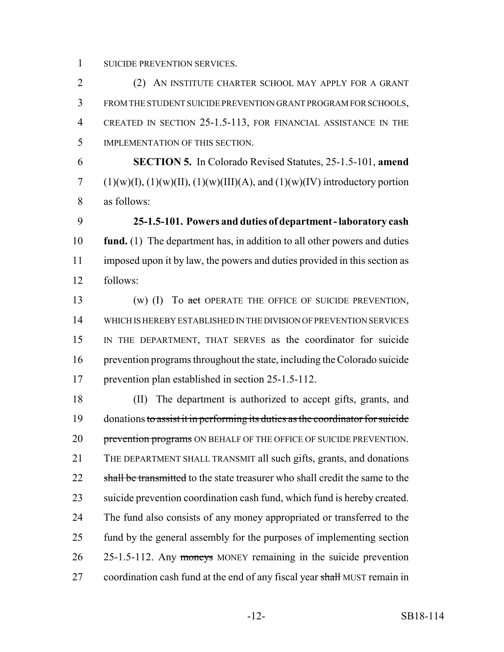SUICIDE PREVENTION SERVICES.

 (2) AN INSTITUTE CHARTER SCHOOL MAY APPLY FOR A GRANT FROM THE STUDENT SUICIDE PREVENTION GRANT PROGRAM FOR SCHOOLS, CREATED IN SECTION 25-1.5-113, FOR FINANCIAL ASSISTANCE IN THE IMPLEMENTATION OF THIS SECTION.

 **SECTION 5.** In Colorado Revised Statutes, 25-1.5-101, **amend** (1)(w)(I), (1)(w)(II), (1)(w)(III)(A), and (1)(w)(IV) introductory portion as follows:

 **25-1.5-101. Powers and duties of department - laboratory cash fund.** (1) The department has, in addition to all other powers and duties imposed upon it by law, the powers and duties provided in this section as follows:

13 (w) (I) To act OPERATE THE OFFICE OF SUICIDE PREVENTION, WHICH IS HEREBY ESTABLISHED IN THE DIVISION OF PREVENTION SERVICES IN THE DEPARTMENT, THAT SERVES as the coordinator for suicide prevention programs throughout the state, including the Colorado suicide prevention plan established in section 25-1.5-112.

 (II) The department is authorized to accept gifts, grants, and donations to assist it in performing its duties as the coordinator for suicide 20 prevention programs ON BEHALF OF THE OFFICE OF SUICIDE PREVENTION. THE DEPARTMENT SHALL TRANSMIT all such gifts, grants, and donations 22 shall be transmitted to the state treasurer who shall credit the same to the suicide prevention coordination cash fund, which fund is hereby created. The fund also consists of any money appropriated or transferred to the fund by the general assembly for the purposes of implementing section 26 25-1.5-112. Any moneys MONEY remaining in the suicide prevention 27 coordination cash fund at the end of any fiscal year shall MUST remain in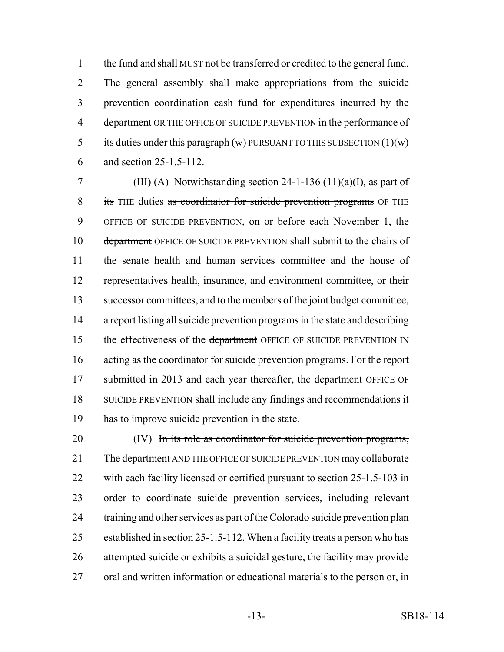1 the fund and shall MUST not be transferred or credited to the general fund. The general assembly shall make appropriations from the suicide prevention coordination cash fund for expenditures incurred by the department OR THE OFFICE OF SUICIDE PREVENTION in the performance of 5 its duties under this paragraph  $(w)$  PURSUANT TO THIS SUBSECTION  $(1)(w)$ and section 25-1.5-112.

7 (III) (A) Notwithstanding section  $24-1-136$  (11)(a)(I), as part of 8 its THE duties as coordinator for suicide prevention programs OF THE OFFICE OF SUICIDE PREVENTION, on or before each November 1, the 10 department OFFICE OF SUICIDE PREVENTION shall submit to the chairs of the senate health and human services committee and the house of representatives health, insurance, and environment committee, or their successor committees, and to the members of the joint budget committee, a report listing all suicide prevention programs in the state and describing 15 the effectiveness of the department OFFICE OF SUICIDE PREVENTION IN acting as the coordinator for suicide prevention programs. For the report 17 submitted in 2013 and each year thereafter, the department OFFICE OF SUICIDE PREVENTION shall include any findings and recommendations it has to improve suicide prevention in the state.

20 (IV) In its role as coordinator for suicide prevention programs, The department AND THE OFFICE OF SUICIDE PREVENTION may collaborate with each facility licensed or certified pursuant to section 25-1.5-103 in order to coordinate suicide prevention services, including relevant training and other services as part of the Colorado suicide prevention plan established in section 25-1.5-112. When a facility treats a person who has attempted suicide or exhibits a suicidal gesture, the facility may provide oral and written information or educational materials to the person or, in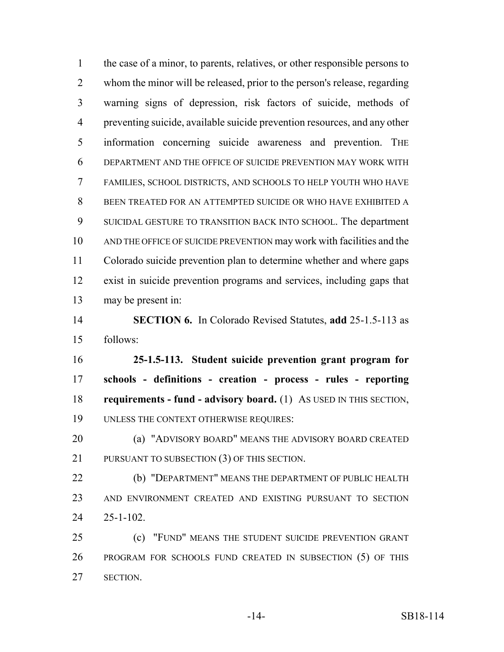the case of a minor, to parents, relatives, or other responsible persons to whom the minor will be released, prior to the person's release, regarding warning signs of depression, risk factors of suicide, methods of preventing suicide, available suicide prevention resources, and any other information concerning suicide awareness and prevention. THE DEPARTMENT AND THE OFFICE OF SUICIDE PREVENTION MAY WORK WITH FAMILIES, SCHOOL DISTRICTS, AND SCHOOLS TO HELP YOUTH WHO HAVE BEEN TREATED FOR AN ATTEMPTED SUICIDE OR WHO HAVE EXHIBITED A SUICIDAL GESTURE TO TRANSITION BACK INTO SCHOOL. The department AND THE OFFICE OF SUICIDE PREVENTION may work with facilities and the Colorado suicide prevention plan to determine whether and where gaps exist in suicide prevention programs and services, including gaps that may be present in: **SECTION 6.** In Colorado Revised Statutes, **add** 25-1.5-113 as follows: **25-1.5-113. Student suicide prevention grant program for schools - definitions - creation - process - rules - reporting requirements - fund - advisory board.** (1) AS USED IN THIS SECTION, UNLESS THE CONTEXT OTHERWISE REQUIRES: (a) "ADVISORY BOARD" MEANS THE ADVISORY BOARD CREATED PURSUANT TO SUBSECTION (3) OF THIS SECTION. (b) "DEPARTMENT" MEANS THE DEPARTMENT OF PUBLIC HEALTH AND ENVIRONMENT CREATED AND EXISTING PURSUANT TO SECTION 25-1-102. (c) "FUND" MEANS THE STUDENT SUICIDE PREVENTION GRANT PROGRAM FOR SCHOOLS FUND CREATED IN SUBSECTION (5) OF THIS SECTION.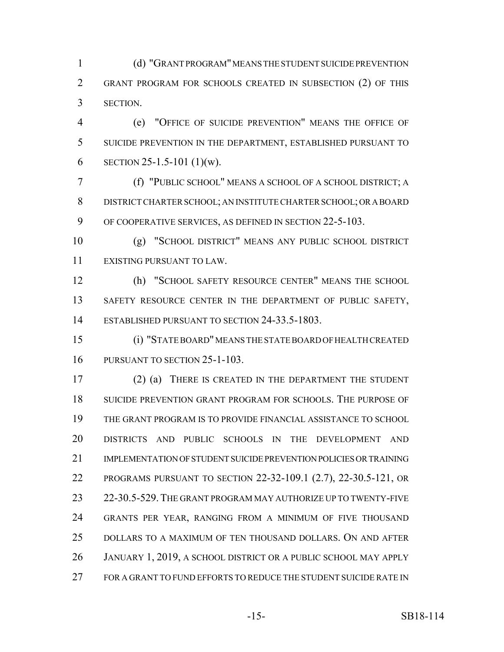(d) "GRANT PROGRAM" MEANS THE STUDENT SUICIDE PREVENTION GRANT PROGRAM FOR SCHOOLS CREATED IN SUBSECTION (2) OF THIS SECTION.

 (e) "OFFICE OF SUICIDE PREVENTION" MEANS THE OFFICE OF SUICIDE PREVENTION IN THE DEPARTMENT, ESTABLISHED PURSUANT TO 6 SECTION 25-1.5-101  $(1)(w)$ .

 (f) "PUBLIC SCHOOL" MEANS A SCHOOL OF A SCHOOL DISTRICT; A DISTRICT CHARTER SCHOOL; AN INSTITUTE CHARTER SCHOOL; OR A BOARD OF COOPERATIVE SERVICES, AS DEFINED IN SECTION 22-5-103.

 (g) "SCHOOL DISTRICT" MEANS ANY PUBLIC SCHOOL DISTRICT EXISTING PURSUANT TO LAW.

 (h) "SCHOOL SAFETY RESOURCE CENTER" MEANS THE SCHOOL 13 SAFETY RESOURCE CENTER IN THE DEPARTMENT OF PUBLIC SAFETY, ESTABLISHED PURSUANT TO SECTION 24-33.5-1803.

 (i) "STATE BOARD" MEANS THE STATE BOARD OF HEALTH CREATED PURSUANT TO SECTION 25-1-103.

 (2) (a) THERE IS CREATED IN THE DEPARTMENT THE STUDENT SUICIDE PREVENTION GRANT PROGRAM FOR SCHOOLS. THE PURPOSE OF THE GRANT PROGRAM IS TO PROVIDE FINANCIAL ASSISTANCE TO SCHOOL DISTRICTS AND PUBLIC SCHOOLS IN THE DEVELOPMENT AND IMPLEMENTATION OF STUDENT SUICIDE PREVENTION POLICIES OR TRAINING PROGRAMS PURSUANT TO SECTION 22-32-109.1 (2.7), 22-30.5-121, OR 22-30.5-529.THE GRANT PROGRAM MAY AUTHORIZE UP TO TWENTY-FIVE GRANTS PER YEAR, RANGING FROM A MINIMUM OF FIVE THOUSAND DOLLARS TO A MAXIMUM OF TEN THOUSAND DOLLARS. ON AND AFTER JANUARY 1, 2019, A SCHOOL DISTRICT OR A PUBLIC SCHOOL MAY APPLY FOR A GRANT TO FUND EFFORTS TO REDUCE THE STUDENT SUICIDE RATE IN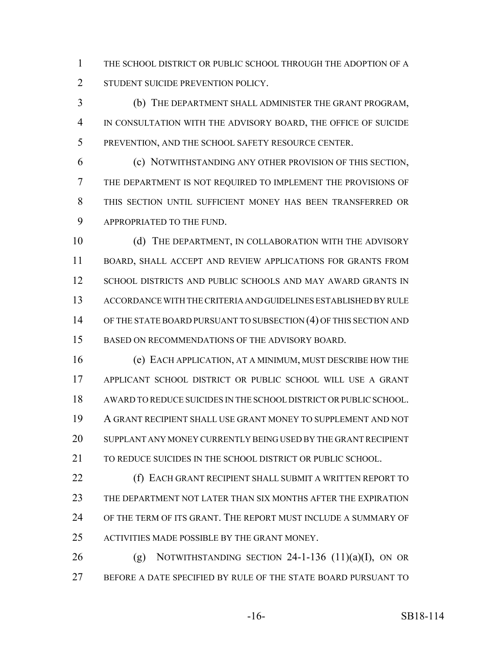THE SCHOOL DISTRICT OR PUBLIC SCHOOL THROUGH THE ADOPTION OF A 2 STUDENT SUICIDE PREVENTION POLICY.

 (b) THE DEPARTMENT SHALL ADMINISTER THE GRANT PROGRAM, IN CONSULTATION WITH THE ADVISORY BOARD, THE OFFICE OF SUICIDE PREVENTION, AND THE SCHOOL SAFETY RESOURCE CENTER.

 (c) NOTWITHSTANDING ANY OTHER PROVISION OF THIS SECTION, THE DEPARTMENT IS NOT REQUIRED TO IMPLEMENT THE PROVISIONS OF THIS SECTION UNTIL SUFFICIENT MONEY HAS BEEN TRANSFERRED OR APPROPRIATED TO THE FUND.

10 (d) THE DEPARTMENT, IN COLLABORATION WITH THE ADVISORY BOARD, SHALL ACCEPT AND REVIEW APPLICATIONS FOR GRANTS FROM SCHOOL DISTRICTS AND PUBLIC SCHOOLS AND MAY AWARD GRANTS IN ACCORDANCE WITH THE CRITERIA AND GUIDELINES ESTABLISHED BY RULE 14 OF THE STATE BOARD PURSUANT TO SUBSECTION (4) OF THIS SECTION AND BASED ON RECOMMENDATIONS OF THE ADVISORY BOARD.

 (e) EACH APPLICATION, AT A MINIMUM, MUST DESCRIBE HOW THE APPLICANT SCHOOL DISTRICT OR PUBLIC SCHOOL WILL USE A GRANT AWARD TO REDUCE SUICIDES IN THE SCHOOL DISTRICT OR PUBLIC SCHOOL. A GRANT RECIPIENT SHALL USE GRANT MONEY TO SUPPLEMENT AND NOT SUPPLANT ANY MONEY CURRENTLY BEING USED BY THE GRANT RECIPIENT TO REDUCE SUICIDES IN THE SCHOOL DISTRICT OR PUBLIC SCHOOL.

**(f) EACH GRANT RECIPIENT SHALL SUBMIT A WRITTEN REPORT TO**  THE DEPARTMENT NOT LATER THAN SIX MONTHS AFTER THE EXPIRATION OF THE TERM OF ITS GRANT. THE REPORT MUST INCLUDE A SUMMARY OF ACTIVITIES MADE POSSIBLE BY THE GRANT MONEY.

26 (g) NOTWITHSTANDING SECTION -1-136  $(11)(a)(I)$ , ON OR BEFORE A DATE SPECIFIED BY RULE OF THE STATE BOARD PURSUANT TO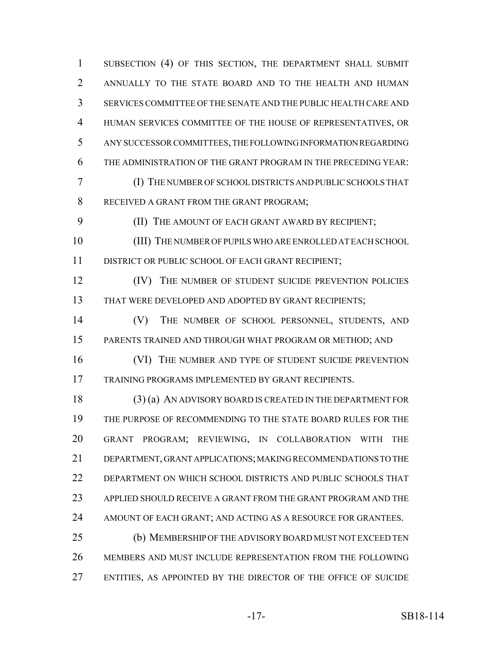1 SUBSECTION (4) OF THIS SECTION, THE DEPARTMENT SHALL SUBMIT ANNUALLY TO THE STATE BOARD AND TO THE HEALTH AND HUMAN SERVICES COMMITTEE OF THE SENATE AND THE PUBLIC HEALTH CARE AND HUMAN SERVICES COMMITTEE OF THE HOUSE OF REPRESENTATIVES, OR ANY SUCCESSOR COMMITTEES, THE FOLLOWING INFORMATION REGARDING THE ADMINISTRATION OF THE GRANT PROGRAM IN THE PRECEDING YEAR: (I) THE NUMBER OF SCHOOL DISTRICTS AND PUBLIC SCHOOLS THAT RECEIVED A GRANT FROM THE GRANT PROGRAM; **(II) THE AMOUNT OF EACH GRANT AWARD BY RECIPIENT;**  (III) THE NUMBER OF PUPILS WHO ARE ENROLLED AT EACH SCHOOL DISTRICT OR PUBLIC SCHOOL OF EACH GRANT RECIPIENT; **(IV)** THE NUMBER OF STUDENT SUICIDE PREVENTION POLICIES THAT WERE DEVELOPED AND ADOPTED BY GRANT RECIPIENTS; (V) THE NUMBER OF SCHOOL PERSONNEL, STUDENTS, AND PARENTS TRAINED AND THROUGH WHAT PROGRAM OR METHOD; AND 16 (VI) THE NUMBER AND TYPE OF STUDENT SUICIDE PREVENTION TRAINING PROGRAMS IMPLEMENTED BY GRANT RECIPIENTS. (3) (a) AN ADVISORY BOARD IS CREATED IN THE DEPARTMENT FOR THE PURPOSE OF RECOMMENDING TO THE STATE BOARD RULES FOR THE GRANT PROGRAM; REVIEWING, IN COLLABORATION WITH THE DEPARTMENT, GRANT APPLICATIONS; MAKING RECOMMENDATIONS TO THE DEPARTMENT ON WHICH SCHOOL DISTRICTS AND PUBLIC SCHOOLS THAT APPLIED SHOULD RECEIVE A GRANT FROM THE GRANT PROGRAM AND THE 24 AMOUNT OF EACH GRANT; AND ACTING AS A RESOURCE FOR GRANTEES. (b) MEMBERSHIP OF THE ADVISORY BOARD MUST NOT EXCEED TEN MEMBERS AND MUST INCLUDE REPRESENTATION FROM THE FOLLOWING ENTITIES, AS APPOINTED BY THE DIRECTOR OF THE OFFICE OF SUICIDE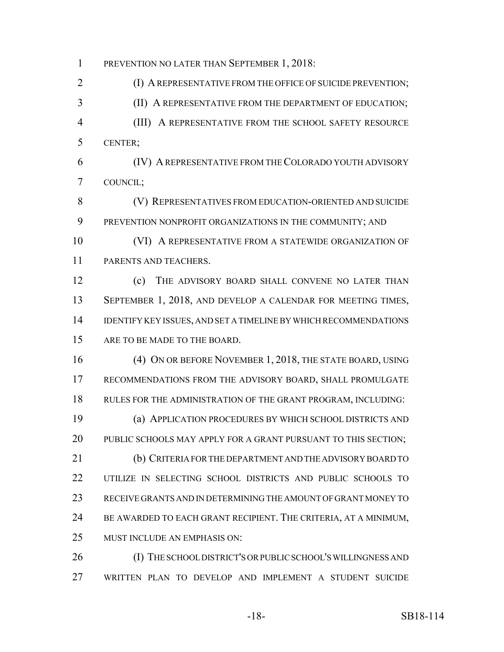1 PREVENTION NO LATER THAN SEPTEMBER 1, 2018:

2 (I) A REPRESENTATIVE FROM THE OFFICE OF SUICIDE PREVENTION; (II) A REPRESENTATIVE FROM THE DEPARTMENT OF EDUCATION; (III) A REPRESENTATIVE FROM THE SCHOOL SAFETY RESOURCE CENTER;

 (IV) A REPRESENTATIVE FROM THE COLORADO YOUTH ADVISORY COUNCIL;

 (V) REPRESENTATIVES FROM EDUCATION-ORIENTED AND SUICIDE PREVENTION NONPROFIT ORGANIZATIONS IN THE COMMUNITY; AND

 (VI) A REPRESENTATIVE FROM A STATEWIDE ORGANIZATION OF PARENTS AND TEACHERS.

 (c) THE ADVISORY BOARD SHALL CONVENE NO LATER THAN 13 SEPTEMBER 1, 2018, AND DEVELOP A CALENDAR FOR MEETING TIMES, IDENTIFY KEY ISSUES, AND SET A TIMELINE BY WHICH RECOMMENDATIONS ARE TO BE MADE TO THE BOARD.

 (4) ON OR BEFORE NOVEMBER 1, 2018, THE STATE BOARD, USING RECOMMENDATIONS FROM THE ADVISORY BOARD, SHALL PROMULGATE RULES FOR THE ADMINISTRATION OF THE GRANT PROGRAM, INCLUDING: (a) APPLICATION PROCEDURES BY WHICH SCHOOL DISTRICTS AND PUBLIC SCHOOLS MAY APPLY FOR A GRANT PURSUANT TO THIS SECTION; (b) CRITERIA FOR THE DEPARTMENT AND THE ADVISORY BOARD TO UTILIZE IN SELECTING SCHOOL DISTRICTS AND PUBLIC SCHOOLS TO RECEIVE GRANTS AND IN DETERMINING THE AMOUNT OF GRANT MONEY TO

BE AWARDED TO EACH GRANT RECIPIENT. THE CRITERIA, AT A MINIMUM,

MUST INCLUDE AN EMPHASIS ON:

 (I) THE SCHOOL DISTRICT'S OR PUBLIC SCHOOL'S WILLINGNESS AND WRITTEN PLAN TO DEVELOP AND IMPLEMENT A STUDENT SUICIDE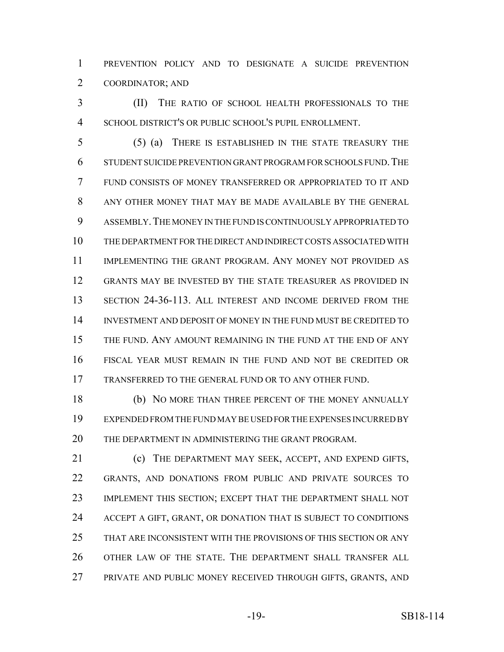PREVENTION POLICY AND TO DESIGNATE A SUICIDE PREVENTION COORDINATOR; AND

 (II) THE RATIO OF SCHOOL HEALTH PROFESSIONALS TO THE SCHOOL DISTRICT'S OR PUBLIC SCHOOL'S PUPIL ENROLLMENT.

 (5) (a) THERE IS ESTABLISHED IN THE STATE TREASURY THE STUDENT SUICIDE PREVENTION GRANT PROGRAM FOR SCHOOLS FUND.THE FUND CONSISTS OF MONEY TRANSFERRED OR APPROPRIATED TO IT AND ANY OTHER MONEY THAT MAY BE MADE AVAILABLE BY THE GENERAL ASSEMBLY.THE MONEY IN THE FUND IS CONTINUOUSLY APPROPRIATED TO THE DEPARTMENT FOR THE DIRECT AND INDIRECT COSTS ASSOCIATED WITH IMPLEMENTING THE GRANT PROGRAM. ANY MONEY NOT PROVIDED AS GRANTS MAY BE INVESTED BY THE STATE TREASURER AS PROVIDED IN SECTION 24-36-113. ALL INTEREST AND INCOME DERIVED FROM THE INVESTMENT AND DEPOSIT OF MONEY IN THE FUND MUST BE CREDITED TO THE FUND. ANY AMOUNT REMAINING IN THE FUND AT THE END OF ANY FISCAL YEAR MUST REMAIN IN THE FUND AND NOT BE CREDITED OR TRANSFERRED TO THE GENERAL FUND OR TO ANY OTHER FUND.

18 (b) NO MORE THAN THREE PERCENT OF THE MONEY ANNUALLY EXPENDED FROM THE FUND MAY BE USED FOR THE EXPENSES INCURRED BY THE DEPARTMENT IN ADMINISTERING THE GRANT PROGRAM.

 (c) THE DEPARTMENT MAY SEEK, ACCEPT, AND EXPEND GIFTS, GRANTS, AND DONATIONS FROM PUBLIC AND PRIVATE SOURCES TO IMPLEMENT THIS SECTION; EXCEPT THAT THE DEPARTMENT SHALL NOT ACCEPT A GIFT, GRANT, OR DONATION THAT IS SUBJECT TO CONDITIONS THAT ARE INCONSISTENT WITH THE PROVISIONS OF THIS SECTION OR ANY OTHER LAW OF THE STATE. THE DEPARTMENT SHALL TRANSFER ALL PRIVATE AND PUBLIC MONEY RECEIVED THROUGH GIFTS, GRANTS, AND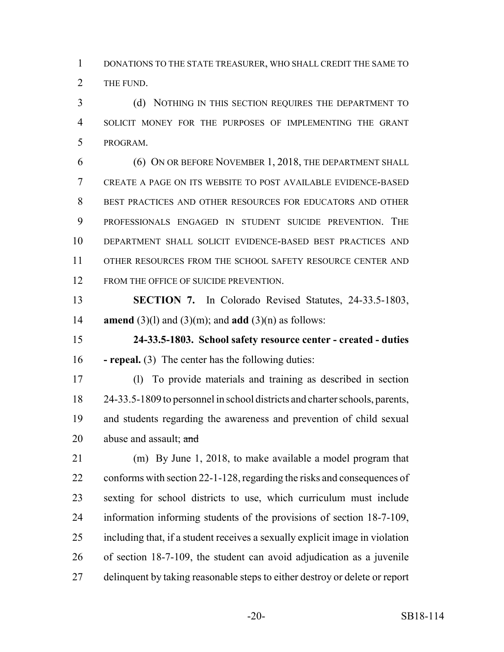DONATIONS TO THE STATE TREASURER, WHO SHALL CREDIT THE SAME TO THE FUND.

 (d) NOTHING IN THIS SECTION REQUIRES THE DEPARTMENT TO SOLICIT MONEY FOR THE PURPOSES OF IMPLEMENTING THE GRANT PROGRAM.

 (6) ON OR BEFORE NOVEMBER 1, 2018, THE DEPARTMENT SHALL CREATE A PAGE ON ITS WEBSITE TO POST AVAILABLE EVIDENCE-BASED BEST PRACTICES AND OTHER RESOURCES FOR EDUCATORS AND OTHER PROFESSIONALS ENGAGED IN STUDENT SUICIDE PREVENTION. THE DEPARTMENT SHALL SOLICIT EVIDENCE-BASED BEST PRACTICES AND 11 OTHER RESOURCES FROM THE SCHOOL SAFETY RESOURCE CENTER AND 12 FROM THE OFFICE OF SUICIDE PREVENTION.

 **SECTION 7.** In Colorado Revised Statutes, 24-33.5-1803, **amend** (3)(l) and (3)(m); and **add** (3)(n) as follows:

 **24-33.5-1803. School safety resource center - created - duties - repeal.** (3) The center has the following duties:

 (l) To provide materials and training as described in section 24-33.5-1809 to personnel in school districts and charter schools, parents, and students regarding the awareness and prevention of child sexual 20 abuse and assault; and

 (m) By June 1, 2018, to make available a model program that conforms with section 22-1-128, regarding the risks and consequences of sexting for school districts to use, which curriculum must include information informing students of the provisions of section 18-7-109, including that, if a student receives a sexually explicit image in violation of section 18-7-109, the student can avoid adjudication as a juvenile delinquent by taking reasonable steps to either destroy or delete or report